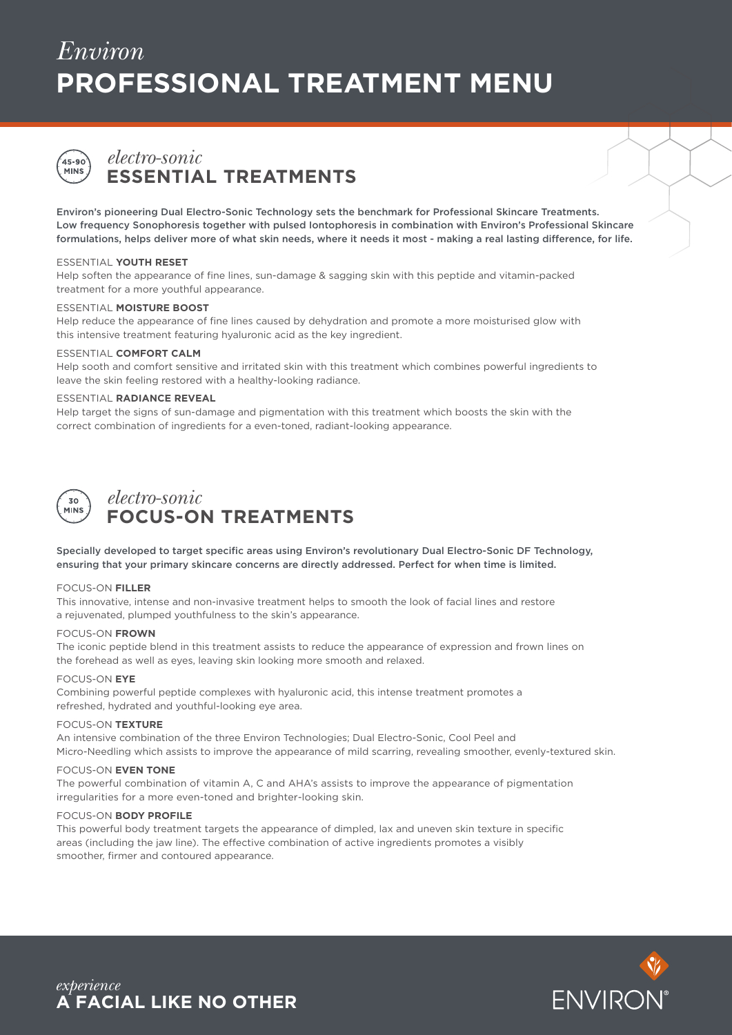# *Environ* **PROFESSIONAL TREATMENT MENU**



### *electro-sonic* **ESSENTIAL TREATMENTS**

Environ's pioneering Dual Electro-Sonic Technology sets the benchmark for Professional Skincare Treatments. Low frequency Sonophoresis together with pulsed Iontophoresis in combination with Environ's Professional Skincare formulations, helps deliver more of what skin needs, where it needs it most - making a real lasting difference, for life.

#### ESSENTIAL **YOUTH RESET**

Help soften the appearance of fine lines, sun-damage & sagging skin with this peptide and vitamin-packed treatment for a more youthful appearance.

#### ESSENTIAL **MOISTURE BOOST**

Help reduce the appearance of fine lines caused by dehydration and promote a more moisturised glow with this intensive treatment featuring hyaluronic acid as the key ingredient.

#### ESSENTIAL **COMFORT CALM**

Help sooth and comfort sensitive and irritated skin with this treatment which combines powerful ingredients to leave the skin feeling restored with a healthy-looking radiance.

#### ESSENTIAL **RADIANCE REVEAL**

Help target the signs of sun-damage and pigmentation with this treatment which boosts the skin with the correct combination of ingredients for a even-toned, radiant-looking appearance.



#### Specially developed to target specific areas using Environ's revolutionary Dual Electro-Sonic DF Technology, ensuring that your primary skincare concerns are directly addressed. Perfect for when time is limited.

#### FOCUS-ON **FILLER**

This innovative, intense and non-invasive treatment helps to smooth the look of facial lines and restore a rejuvenated, plumped youthfulness to the skin's appearance.

#### FOCUS-ON **FROWN**

The iconic peptide blend in this treatment assists to reduce the appearance of expression and frown lines on the forehead as well as eyes, leaving skin looking more smooth and relaxed.

#### FOCUS-ON **EYE**

Combining powerful peptide complexes with hyaluronic acid, this intense treatment promotes a refreshed, hydrated and youthful-looking eye area.

#### FOCUS-ON **TEXTURE**

An intensive combination of the three Environ Technologies; Dual Electro-Sonic, Cool Peel and Micro-Needling which assists to improve the appearance of mild scarring, revealing smoother, evenly-textured skin.

#### FOCUS-ON **EVEN TONE**

The powerful combination of vitamin A, C and AHA's assists to improve the appearance of pigmentation irregularities for a more even-toned and brighter-looking skin.

#### FOCUS-ON **BODY PROFILE**

This powerful body treatment targets the appearance of dimpled, lax and uneven skin texture in specific areas (including the jaw line). The effective combination of active ingredients promotes a visibly smoother, firmer and contoured appearance.



*experience* **A FACIAL LIKE NO OTHER**